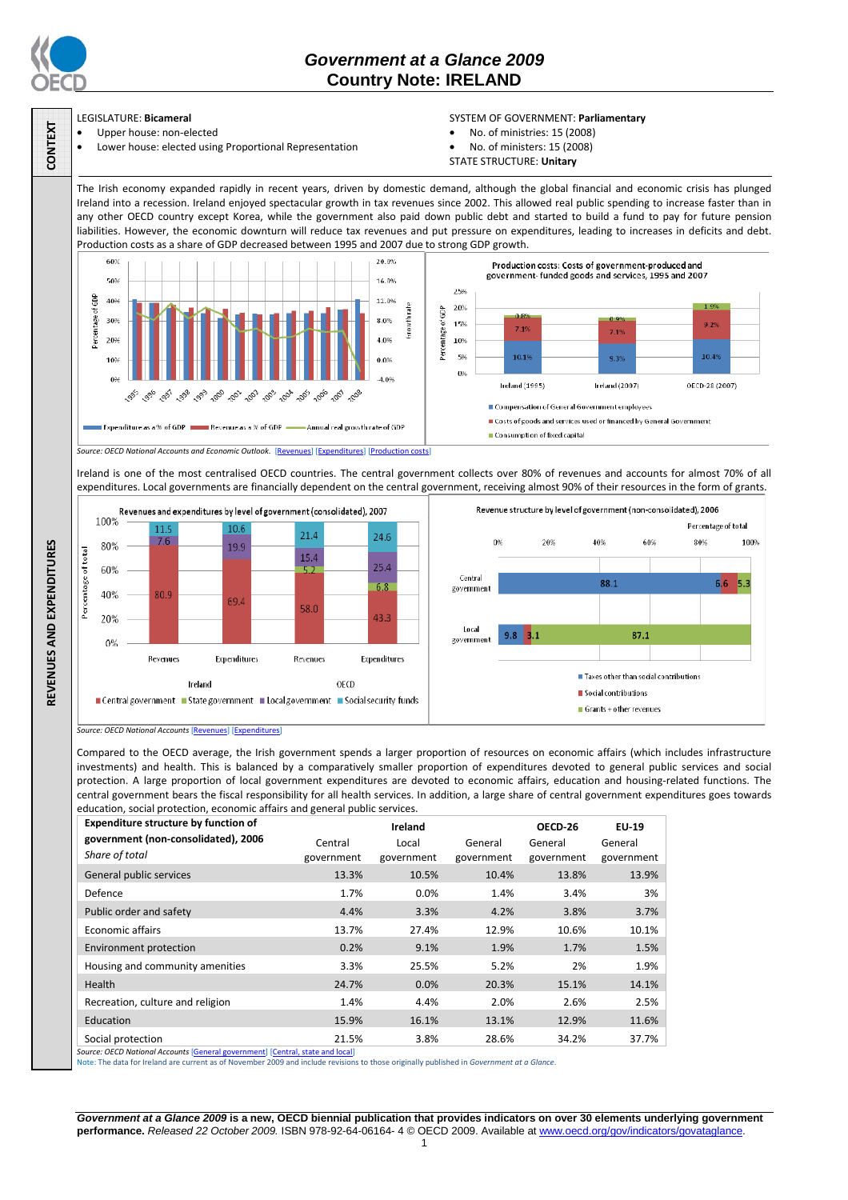

**CONTEXT** 

**CONTEXT REVENUES AND EXPENDITURES** 

REVENUES AND EXPENDITURES

## *Government at a Glance 2009*  **Country Note: IRELAND**

## LEGISLATURE: **Bicameral**

- Upper house: non-elected
	- Lower house: elected using Proportional Representation

### SYSTEM OF GOVERNMENT: **Parliamentary**

- No. of ministries: 15 (2008)
- No. of ministers: 15 (2008)
- STATE STRUCTURE: **Unitary**

The Irish economy expanded rapidly in recent years, driven by domestic demand, although the global financial and economic crisis has plunged Ireland into a recession. Ireland enjoyed spectacular growth in tax revenues since 2002. This allowed real public spending to increase faster than in any other OECD country except Korea, while the government also paid down public debt and started to build a fund to pay for future pension liabilities. However, the economic downturn will reduce tax revenues and put pressure on expenditures, leading to increases in deficits and debt. Production costs as a share of GDP decreased between 1995 and 2007 due to strong GDP growth.



Ireland is one of the most centralised OECD countries. The central government collects over 80% of revenues and accounts for almost 70% of all expenditures. Local governments are financially dependent on the central government, receiving almost 90% of their resources in the form of grants.



*Source: OECD National Accounts* [Revenues] [Expenditures]

Compared to the OECD average, the Irish government spends a larger proportion of resources on economic affairs (which includes infrastructure investments) and health. This is balanced by a comparatively smaller proportion of expenditures devoted to general public services and social protection. A large proportion of local government expenditures are devoted to economic affairs, education and housing-related functions. The central government bears the fiscal responsibility for all health services. In addition, a large share of central government expenditures goes towards education, social protection, economic affairs and general public services.

| <b>Expenditure structure by function of</b><br>government (non-consolidated), 2006 | Central    | Ireland<br>Local | General    | OECD-26<br>General | EU-19<br>General |
|------------------------------------------------------------------------------------|------------|------------------|------------|--------------------|------------------|
| Share of total                                                                     | government | government       | government | government         | government       |
|                                                                                    |            |                  |            |                    |                  |
| General public services                                                            | 13.3%      | 10.5%            | 10.4%      | 13.8%              | 13.9%            |
| Defence                                                                            | 1.7%       | 0.0%             | 1.4%       | 3.4%               | 3%               |
| Public order and safety                                                            | 4.4%       | 3.3%             | 4.2%       | 3.8%               | 3.7%             |
| <b>Economic affairs</b>                                                            | 13.7%      | 27.4%            | 12.9%      | 10.6%              | 10.1%            |
| Environment protection                                                             | 0.2%       | 9.1%             | 1.9%       | 1.7%               | 1.5%             |
| Housing and community amenities                                                    | 3.3%       | 25.5%            | 5.2%       | 2%                 | 1.9%             |
| Health                                                                             | 24.7%      | 0.0%             | 20.3%      | 15.1%              | 14.1%            |
| Recreation, culture and religion                                                   | 1.4%       | 4.4%             | 2.0%       | 2.6%               | 2.5%             |
| Education                                                                          | 15.9%      | 16.1%            | 13.1%      | 12.9%              | 11.6%            |
| Social protection                                                                  | 21.5%      | 3.8%             | 28.6%      | 34.2%              | 37.7%            |
| Causeau OECD Netional Accounts [Conose] souccepanel [Control state and local]      |            |                  |            |                    |                  |

*Source: OECD National Accounts* [General government] [Central, state and local]

Note: The data for Ireland are current as of November 2009 and include revisions to those originally published in *Government at a Glance*.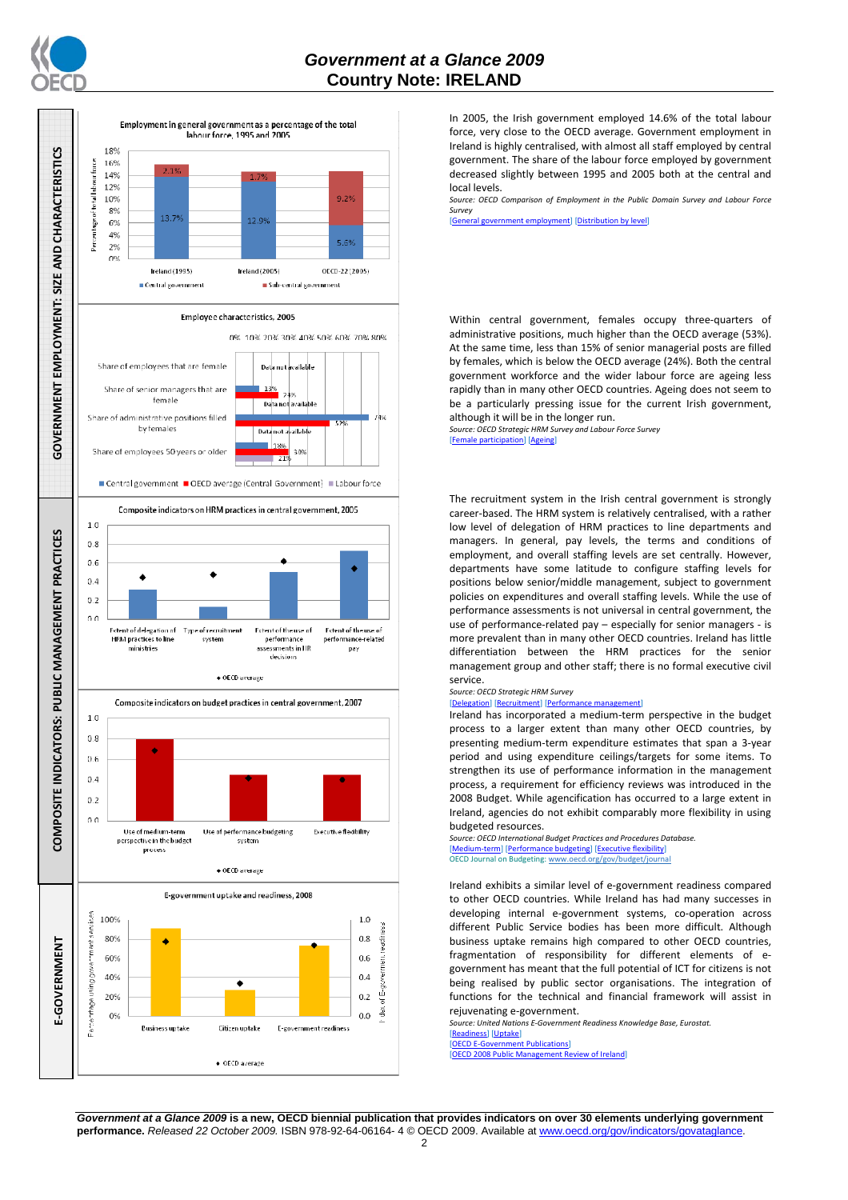



In 2005, the Irish government employed 14.6% of the total labour force, very close to the OECD average. Government employment in Ireland is highly centralised, with almost all staff employed by central government. The share of the labour force employed by government decreased slightly between 1995 and 2005 both at the central and local levels.

*Source: OECD Comparison of Employment in the Public Domain Survey and Labour Force Survey* 

[General government employment] [Distribution by level]

Within central government, females occupy three-quarters of administrative positions, much higher than the OECD average (53%). At the same time, less than 15% of senior managerial posts are filled by females, which is below the OECD average (24%). Both the central government workforce and the wider labour force are ageing less rapidly than in many other OECD countries. Ageing does not seem to be a particularly pressing issue for the current Irish government, although it will be in the longer run.

*Source: OECD Strategic HRM Survey and Labour Force Survey*  [Female participation] [Ageing]

The recruitment system in the Irish central government is strongly career-based. The HRM system is relatively centralised, with a rather low level of delegation of HRM practices to line departments and managers. In general, pay levels, the terms and conditions of employment, and overall staffing levels are set centrally. However, departments have some latitude to configure staffing levels for positions below senior/middle management, subject to government policies on expenditures and overall staffing levels. While the use of performance assessments is not universal in central government, the use of performance-related pay – especially for senior managers - is more prevalent than in many other OECD countries. Ireland has little differentiation between the HRM practices for the senior management group and other staff; there is no formal executive civil service.

# *Source: OECD Strategic HRM Survey*

### ation] [Recruit

Ireland has incorporated a medium-term perspective in the budget process to a larger extent than many other OECD countries, by presenting medium-term expenditure estimates that span a 3-year period and using expenditure ceilings/targets for some items. To strengthen its use of performance information in the management process, a requirement for efficiency reviews was introduced in the 2008 Budget. While agencification has occurred to a large extent in Ireland, agencies do not exhibit comparably more flexibility in using budgeted resources.

*Source: OECD International Budget Practices and Procedures Database.*  [Medium-term] [Performance budgeting] [Executive flexibility] OECD Journal on Budgeting: www.oecd.org/gov/budget/journal

Ireland exhibits a similar level of e-government readiness compared to other OECD countries. While Ireland has had many successes in developing internal e-government systems, co-operation across different Public Service bodies has been more difficult. Although business uptake remains high compared to other OECD countries, fragmentation of responsibility for different elements of egovernment has meant that the full potential of ICT for citizens is not being realised by public sector organisations. The integration of functions for the technical and financial framework will assist in rejuvenating e-government.

*Source: United Nations E-Government Readiness Knowledge Base, Eurostat.*  [Readiness] [Uptake] [OECD E-Government Publications]

[OECD 2008 Public Management Review of Ireland]

*Government at a Glance 2009* **is a new, OECD biennial publication that provides indicators on over 30 elements underlying government performance.** *Released 22 October 2009.* ISBN 978-92-64-06164- 4 © OECD 2009. Available at www.oecd.org/gov/indicators/govataglance.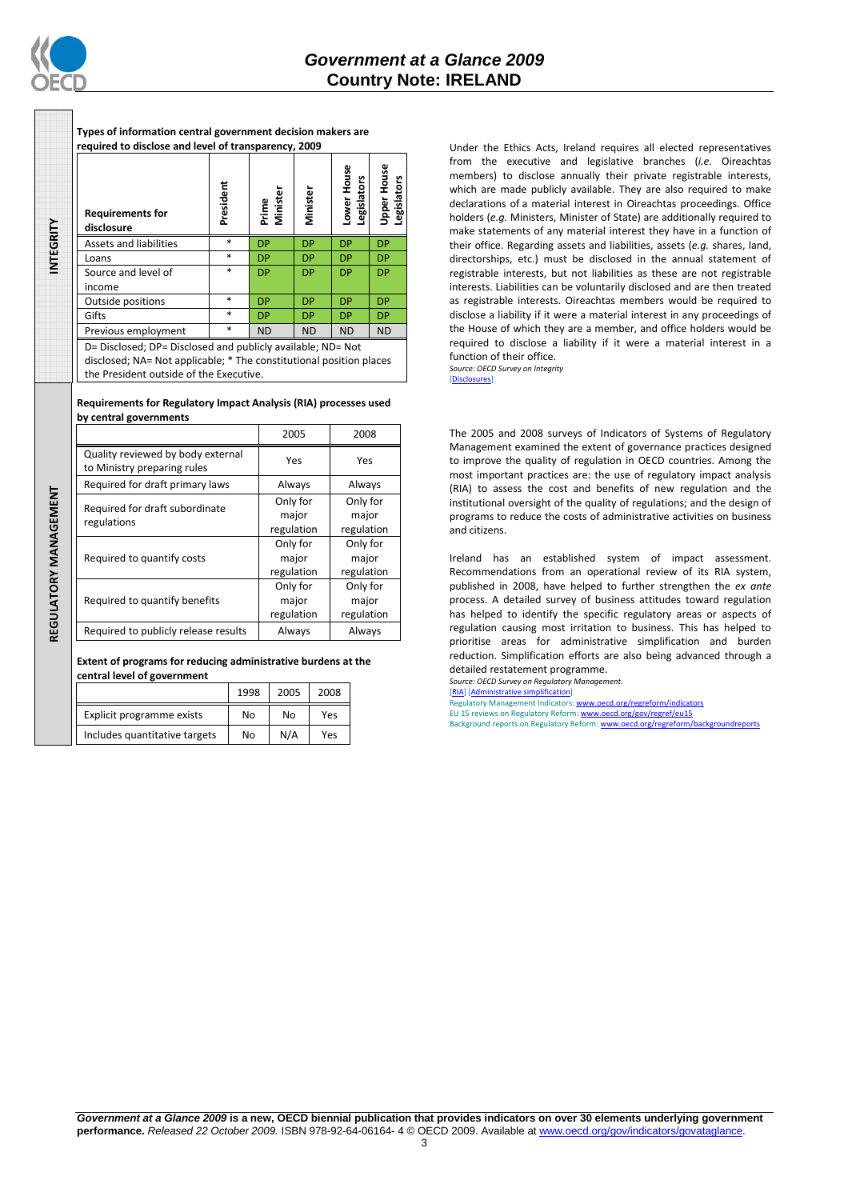

**Types of information central government decision makers are required to disclose and level of transparency, 2009** 

|                                                                                                                                    | <b>Requirements for</b><br>disclosure | President | Prime<br>Minister | Minister  | Lower House<br>gislators<br>ு | Upper House<br>Legislators |
|------------------------------------------------------------------------------------------------------------------------------------|---------------------------------------|-----------|-------------------|-----------|-------------------------------|----------------------------|
|                                                                                                                                    | Assets and liabilities                | $\ast$    | <b>DP</b>         | <b>DP</b> | <b>DP</b>                     | <b>DP</b>                  |
|                                                                                                                                    | Loans                                 | $\ast$    | <b>DP</b>         | <b>DP</b> | <b>DP</b>                     | <b>DP</b>                  |
|                                                                                                                                    | Source and level of                   | $\ast$    | <b>DP</b>         | <b>DP</b> | <b>DP</b>                     | <b>DP</b>                  |
|                                                                                                                                    | income                                |           |                   |           |                               |                            |
|                                                                                                                                    | Outside positions                     | $\ast$    | <b>DP</b>         | <b>DP</b> | <b>DP</b>                     | <b>DP</b>                  |
|                                                                                                                                    | Gifts                                 | $\ast$    | <b>DP</b>         | <b>DP</b> | <b>DP</b>                     | <b>DP</b>                  |
|                                                                                                                                    | Previous employment                   | $\ast$    | <b>ND</b>         | <b>ND</b> | <b>ND</b>                     | <b>ND</b>                  |
| D= Disclosed; DP= Disclosed and publicly available; ND= Not<br>disclosed; NA= Not applicable; * The constitutional position places |                                       |           |                   |           |                               |                            |

the President outside of the Executive.

### **Requirements for Regulatory Impact Analysis (RIA) processes used by central governments**

|                                                                  | 2005                            | 2008                            |
|------------------------------------------------------------------|---------------------------------|---------------------------------|
| Quality reviewed by body external<br>to Ministry preparing rules | Yes                             | Yes                             |
| Required for draft primary laws                                  | Always                          | Always                          |
| Required for draft subordinate<br>regulations                    | Only for<br>major<br>regulation | Only for<br>major<br>regulation |
| Required to quantify costs                                       | Only for<br>major<br>regulation | Only for<br>major<br>regulation |
| Required to quantify benefits                                    | Only for<br>major<br>regulation | Only for<br>major<br>regulation |
| Required to publicly release results                             | Always                          | Always                          |

**Extent of programs for reducing administrative burdens at the central level of government** 

|                               | 1998 | 2005 | 2008 |
|-------------------------------|------|------|------|
| Explicit programme exists     | No   | No   | Yes  |
| Includes quantitative targets | No   | N/A  | Yes  |

Under the Ethics Acts, Ireland requires all elected representatives from the executive and legislative branches (*i.e.* Oireachtas members) to disclose annually their private registrable interests, which are made publicly available. They are also required to make declarations of a material interest in Oireachtas proceedings. Office holders (*e.g.* Ministers, Minister of State) are additionally required to make statements of any material interest they have in a function of their office. Regarding assets and liabilities, assets (*e.g.* shares, land, directorships, etc.) must be disclosed in the annual statement of registrable interests, but not liabilities as these are not registrable interests. Liabilities can be voluntarily disclosed and are then treated as registrable interests. Oireachtas members would be required to disclose a liability if it were a material interest in any proceedings of the House of which they are a member, and office holders would be required to disclose a liability if it were a material interest in a function of their office. *Source: OECD Survey on Integrity* 

[Disclosures]

The 2005 and 2008 surveys of Indicators of Systems of Regulatory Management examined the extent of governance practices designed to improve the quality of regulation in OECD countries. Among the most important practices are: the use of regulatory impact analysis (RIA) to assess the cost and benefits of new regulation and the institutional oversight of the quality of regulations; and the design of programs to reduce the costs of administrative activities on business and citizens.

Ireland has an established system of impact assessment. Recommendations from an operational review of its RIA system, published in 2008, have helped to further strengthen the *ex ante* process. A detailed survey of business attitudes toward regulation has helped to identify the specific regulatory areas or aspects of regulation causing most irritation to business. This has helped to prioritise areas for administrative simplification and burden reduction. Simplification efforts are also being advanced through a detailed restatement programme.

*Source: OECD Survey on Regulatory Management.* [RIA] [Administrative simplification] Regulatory Management Indicators: www.oecd.org/regreform/indicators

EU 15 reviews on Regulatory Reform: www.oecd.org/gov/regref/eu15<br>Background reports on Regulatory Reform: www.oecd.org/regreform/backgroundreports Background reports on Regulatory Reform: www.oecd.org/regreform

NTEGRITY